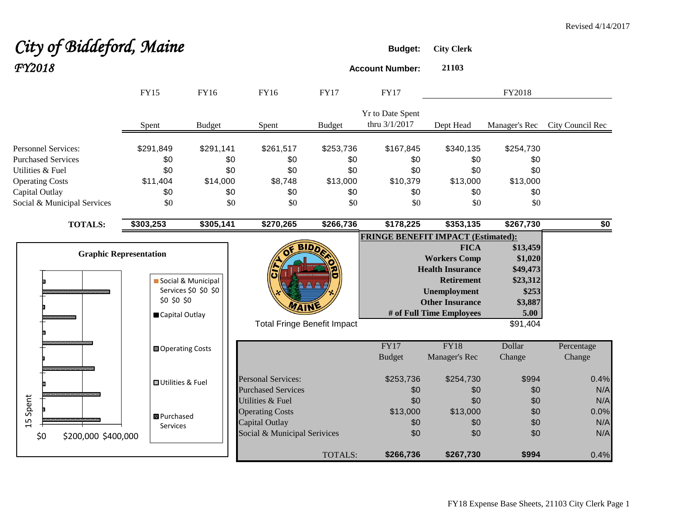# **City of Biddeford, Maine Budget:** City Clerk *FY2018* **Account Number: <sup>21103</sup>**

|                               | <b>FY15</b>               | <b>FY16</b>          | <b>FY16</b>                  | <b>FY17</b>                        | <b>FY17</b>                               |                          | FY2018        |                  |
|-------------------------------|---------------------------|----------------------|------------------------------|------------------------------------|-------------------------------------------|--------------------------|---------------|------------------|
|                               | Spent                     | <b>Budget</b>        | Spent                        | <b>Budget</b>                      | Yr to Date Spent<br>thru 3/1/2017         | Dept Head                | Manager's Rec | City Council Rec |
| <b>Personnel Services:</b>    | \$291,849                 | \$291,141            | \$261,517                    | \$253,736                          | \$167,845                                 | \$340,135                | \$254,730     |                  |
| <b>Purchased Services</b>     | \$0                       | \$0                  | \$0                          | \$0                                | \$0                                       | \$0                      | \$0           |                  |
| Utilities & Fuel              | \$0                       | \$0                  | \$0                          | \$0                                | \$0                                       | \$0                      | \$0           |                  |
| <b>Operating Costs</b>        | \$11,404                  | \$14,000             | \$8,748                      | \$13,000                           | \$10,379                                  | \$13,000                 | \$13,000      |                  |
| Capital Outlay                | \$0                       | \$0                  | \$0                          | \$0                                | \$0                                       | \$0                      | \$0           |                  |
| Social & Municipal Services   | \$0                       | \$0                  | \$0                          | \$0                                | \$0                                       | \$0                      | \$0           |                  |
| <b>TOTALS:</b>                | \$303,253                 | \$305,141            | \$270,265                    | \$266,736                          | \$178,225                                 | \$353,135                | \$267,730     | \$0              |
|                               |                           |                      |                              |                                    | <b>FRINGE BENEFIT IMPACT (Estimated):</b> |                          |               |                  |
|                               |                           |                      |                              |                                    |                                           | <b>FICA</b>              | \$13,459      |                  |
| <b>Graphic Representation</b> |                           |                      |                              |                                    |                                           | <b>Workers Comp</b>      | \$1,020       |                  |
|                               |                           |                      |                              |                                    |                                           | <b>Health Insurance</b>  | \$49,473      |                  |
|                               |                           | Social & Municipal   |                              |                                    |                                           | <b>Retirement</b>        | \$23,312      |                  |
|                               |                           | Services \$0 \$0 \$0 |                              |                                    |                                           | <b>Unemployment</b>      | \$253         |                  |
|                               | \$0\$50\$50               |                      | WAIN                         |                                    |                                           | <b>Other Insurance</b>   | \$3,887       |                  |
|                               | Capital Outlay            |                      |                              |                                    |                                           | # of Full Time Employees | 5.00          |                  |
|                               |                           |                      |                              | <b>Total Fringe Benefit Impact</b> |                                           |                          | \$91,404      |                  |
|                               | <b>□</b> Operating Costs  |                      |                              |                                    | FY17                                      | <b>FY18</b>              | Dollar        | Percentage       |
|                               |                           |                      |                              |                                    | <b>Budget</b>                             | Manager's Rec            | Change        | Change           |
|                               | <b>□</b> Utilities & Fuel |                      | <b>Personal Services:</b>    |                                    | \$253,736                                 | \$254,730                | \$994         | 0.4%             |
|                               |                           |                      | <b>Purchased Services</b>    |                                    | \$0                                       | \$0                      | \$0           | N/A              |
| Spent                         |                           |                      | Utilities & Fuel             |                                    | \$0                                       | \$0                      | \$0           | N/A              |
|                               | <b>B</b> Purchased        |                      | <b>Operating Costs</b>       |                                    | \$13,000                                  | \$13,000                 | \$0           | 0.0%             |
| 15                            | Services                  |                      | Capital Outlay               |                                    | \$0                                       | \$0                      | \$0           | N/A              |
| \$200,000 \$400,000<br>\$0    |                           |                      | Social & Municipal Serivices |                                    | \$0                                       | \$0                      | \$0           | N/A              |
|                               |                           |                      |                              | <b>TOTALS:</b>                     | \$266,736                                 | \$267,730                | \$994         | 0.4%             |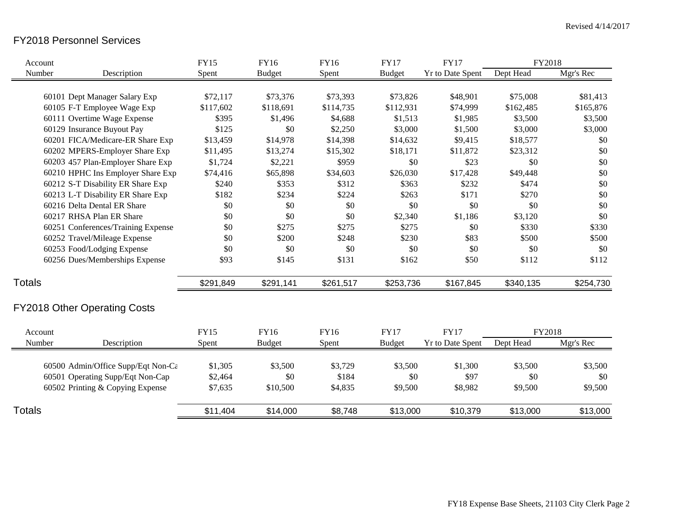# FY2018 Personnel Services

| Account       |                                     | <b>FY15</b> | <b>FY16</b>   | FY16        | <b>FY17</b>   | <b>FY17</b>             | FY2018    |           |
|---------------|-------------------------------------|-------------|---------------|-------------|---------------|-------------------------|-----------|-----------|
| Number        | Description                         | Spent       | <b>Budget</b> | Spent       | <b>Budget</b> | <b>Yr to Date Spent</b> | Dept Head | Mgr's Rec |
|               | 60101 Dept Manager Salary Exp       | \$72,117    | \$73,376      | \$73,393    | \$73,826      | \$48,901                | \$75,008  | \$81,413  |
|               | 60105 F-T Employee Wage Exp         | \$117,602   | \$118,691     | \$114,735   | \$112,931     | \$74,999                | \$162,485 | \$165,876 |
|               | 60111 Overtime Wage Expense         | \$395       | \$1,496       | \$4,688     | \$1,513       | \$1,985                 | \$3,500   | \$3,500   |
|               | 60129 Insurance Buyout Pay          | \$125       | \$0           | \$2,250     | \$3,000       | \$1,500                 | \$3,000   | \$3,000   |
|               | 60201 FICA/Medicare-ER Share Exp    | \$13,459    | \$14,978      | \$14,398    | \$14,632      | \$9,415                 | \$18,577  | \$0       |
|               | 60202 MPERS-Employer Share Exp      | \$11,495    | \$13,274      | \$15,302    | \$18,171      | \$11,872                | \$23,312  | \$0       |
|               | 60203 457 Plan-Employer Share Exp   | \$1,724     | \$2,221       | \$959       | \$0           | \$23                    | \$0       | \$0       |
|               | 60210 HPHC Ins Employer Share Exp   | \$74,416    | \$65,898      | \$34,603    | \$26,030      | \$17,428                | \$49,448  | \$0       |
|               | 60212 S-T Disability ER Share Exp   | \$240       | \$353         | \$312       | \$363         | \$232                   | \$474     | \$0       |
|               | 60213 L-T Disability ER Share Exp   | \$182       | \$234         | \$224       | \$263         | \$171                   | \$270     | \$0       |
|               | 60216 Delta Dental ER Share         | \$0         | \$0           | \$0         | \$0           | \$0                     | \$0       | \$0       |
|               | 60217 RHSA Plan ER Share            | \$0         | \$0           | \$0         | \$2,340       | \$1,186                 | \$3,120   | \$0       |
|               | 60251 Conferences/Training Expense  | \$0         | \$275         | \$275       | \$275         | \$0                     | \$330     | \$330     |
|               | 60252 Travel/Mileage Expense        | \$0         | \$200         | \$248       | \$230         | \$83                    | \$500     | \$500     |
|               | 60253 Food/Lodging Expense          | \$0         | \$0           | \$0         | \$0           | \$0                     | \$0       | \$0       |
|               | 60256 Dues/Memberships Expense      | \$93        | \$145         | \$131       | \$162         | \$50                    | \$112     | \$112     |
| <b>Totals</b> |                                     | \$291,849   | \$291,141     | \$261,517   | \$253,736     | \$167,845               | \$340,135 | \$254,730 |
|               | <b>FY2018 Other Operating Costs</b> |             |               |             |               |                         |           |           |
| Account       |                                     | <b>FY15</b> | FY16          | <b>FY16</b> | <b>FY17</b>   | <b>FY17</b>             | FY2018    |           |
| Number        | Description                         | Spent       | <b>Budget</b> | Spent       | <b>Budget</b> | Yr to Date Spent        | Dept Head | Mgr's Rec |
|               | 60500 Admin/Office Supp/Eqt Non-Cε  | \$1,305     | \$3,500       | \$3,729     | \$3,500       | \$1,300                 | \$3,500   | \$3,500   |
|               | 60501 Operating Supp/Eqt Non-Cap    | \$2,464     | \$0           | \$184       | \$0           | \$97                    | \$0       | \$0       |
|               | 60502 Printing & Copying Expense    | \$7,635     | \$10,500      | \$4,835     | \$9,500       | \$8,982                 | \$9,500   | \$9,500   |
| <b>Totals</b> |                                     | \$11,404    | \$14,000      | \$8,748     | \$13,000      | \$10,379                | \$13,000  | \$13,000  |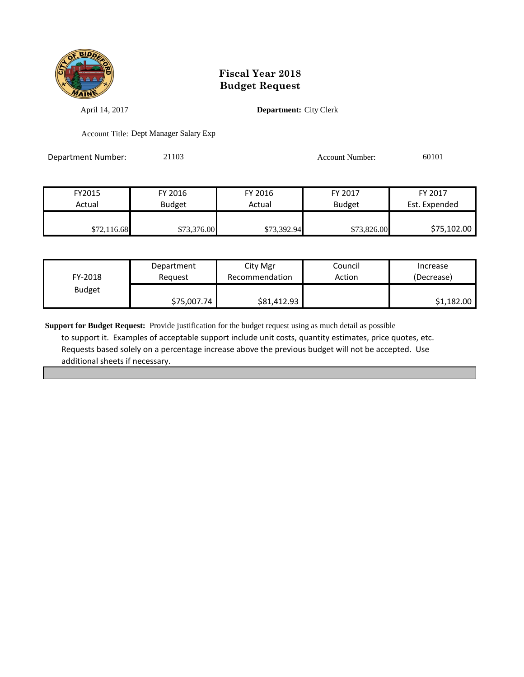

April 14, 2017 **Department:** City Clerk

Account Title: Dept Manager Salary Exp

Department Number: 21103 Account Number: 60101

| FY2015      | FY 2016       | FY 2016     | FY 2017       | FY 2017       |
|-------------|---------------|-------------|---------------|---------------|
| Actual      | <b>Budget</b> | Actual      | <b>Budget</b> | Est. Expended |
| \$72,116.68 | \$73,376.00   | \$73,392.94 | \$73,826.00   | \$75,102.00   |

| FY-2018       | Department  | City Mgr       | Council | Increase   |
|---------------|-------------|----------------|---------|------------|
|               | Reauest     | Recommendation | Action  | (Decrease) |
| <b>Budget</b> | \$75,007.74 | \$81,412.93    |         | \$1,182.00 |

**Support for Budget Request:** Provide justification for the budget request using as much detail as possible to support it. Examples of acceptable support include unit costs, quantity estimates, price quotes, etc. Requests based solely on a percentage increase above the previous budget will not be accepted. Use additional sheets if necessary.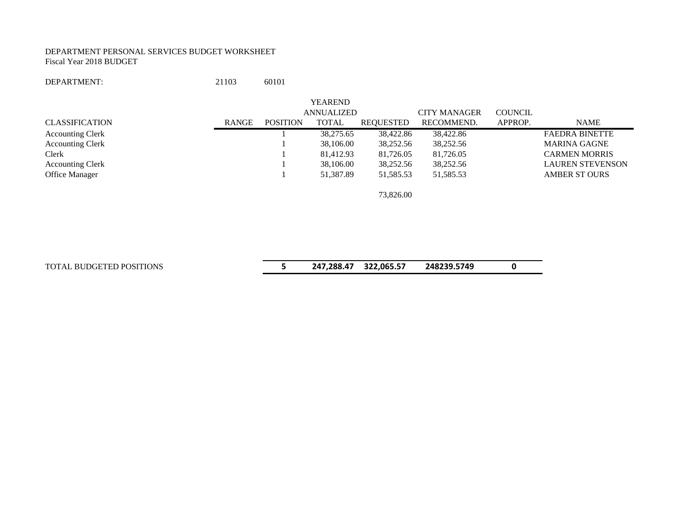#### DEPARTMENT PERSONAL SERVICES BUDGET WORKSHEET Fiscal Year 2018 BUDGET

#### DEPARTMENT: 21103 60101

|                         |       |                 | <b>YEAREND</b>    |           |                     |                |                         |
|-------------------------|-------|-----------------|-------------------|-----------|---------------------|----------------|-------------------------|
|                         |       |                 | <b>ANNUALIZED</b> |           | <b>CITY MANAGER</b> | <b>COUNCIL</b> |                         |
| CLASSIFICATION          | RANGE | <b>POSITION</b> | TOTAL             | REQUESTED | RECOMMEND.          | APPROP.        | NAME                    |
| <b>Accounting Clerk</b> |       |                 | 38,275.65         | 38,422.86 | 38,422.86           |                | <b>FAEDRA BINETTE</b>   |
| <b>Accounting Clerk</b> |       |                 | 38,106.00         | 38,252.56 | 38,252.56           |                | <b>MARINA GAGNE</b>     |
| Clerk                   |       |                 | 81,412.93         | 81,726.05 | 81,726.05           |                | <b>CARMEN MORRIS</b>    |
| <b>Accounting Clerk</b> |       |                 | 38,106.00         | 38,252.56 | 38,252.56           |                | <b>LAUREN STEVENSON</b> |
| <b>Office Manager</b>   |       |                 | 51.387.89         | 51,585.53 | 51,585.53           |                | <b>AMBER ST OURS</b>    |
|                         |       |                 |                   | 73,826.00 |                     |                |                         |

TOTAL BUDGETED POSITIONS **5 247,288.47 322,065.57 248239.5749 0**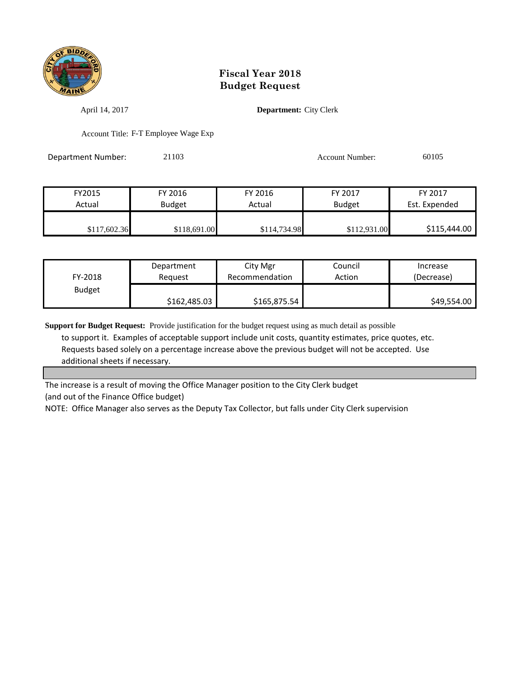

April 14, 2017 **Department:** City Clerk

Account Title: F-T Employee Wage Exp

Department Number: 21103 Account Number: 60105

FY2015 FY 2016 FY 2016 FY 2017 FY 2017 Actual Budget | Actual Budget Est. Expended \$117,602.36 \$118,691.00 \$114,734.98 \$112,931.00 \$115,444.00

| FY-2018       | Department   | City Mgr       | Council | Increase    |
|---------------|--------------|----------------|---------|-------------|
|               | Reguest      | Recommendation | Action  | (Decrease)  |
| <b>Budget</b> | \$162,485.03 | \$165,875.54   |         | \$49,554.00 |

**Support for Budget Request:** Provide justification for the budget request using as much detail as possible to support it. Examples of acceptable support include unit costs, quantity estimates, price quotes, etc. Requests based solely on a percentage increase above the previous budget will not be accepted. Use additional sheets if necessary.

The increase is a result of moving the Office Manager position to the City Clerk budget (and out of the Finance Office budget)

NOTE: Office Manager also serves as the Deputy Tax Collector, but falls under City Clerk supervision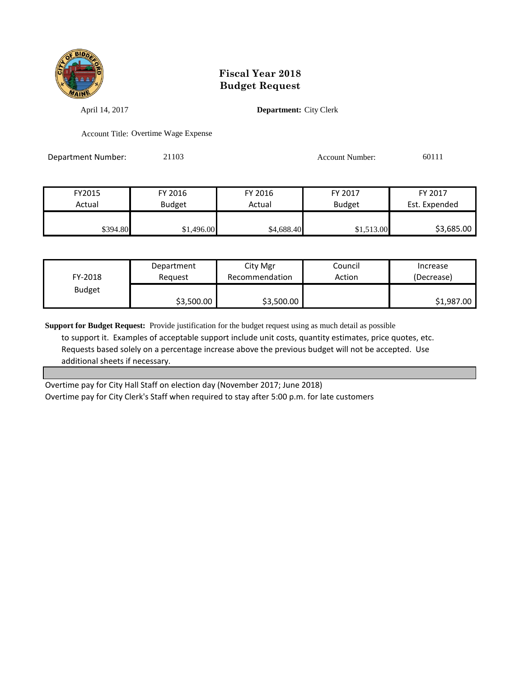

April 14, 2017 **Department:** City Clerk

Account Title: Overtime Wage Expense

Department Number: 21103 Account Number: 60111

FY2015 FY 2016 FY 2016 FY 2017 FY 2017 Actual Budget | Actual Budget Est. Expended \$394.80 \$1,496.00 \$1,496.00 \$4,688.40 \$1,513.00 \$3,685.00

| FY-2018       | Department | City Mgr       | Council | Increase   |
|---------------|------------|----------------|---------|------------|
|               | Reauest    | Recommendation | Action  | (Decrease) |
| <b>Budget</b> | \$3,500.00 | \$3,500.00     |         | \$1,987.00 |

**Support for Budget Request:** Provide justification for the budget request using as much detail as possible to support it. Examples of acceptable support include unit costs, quantity estimates, price quotes, etc. Requests based solely on a percentage increase above the previous budget will not be accepted. Use additional sheets if necessary.

Overtime pay for City Hall Staff on election day (November 2017; June 2018) Overtime pay for City Clerk's Staff when required to stay after 5:00 p.m. for late customers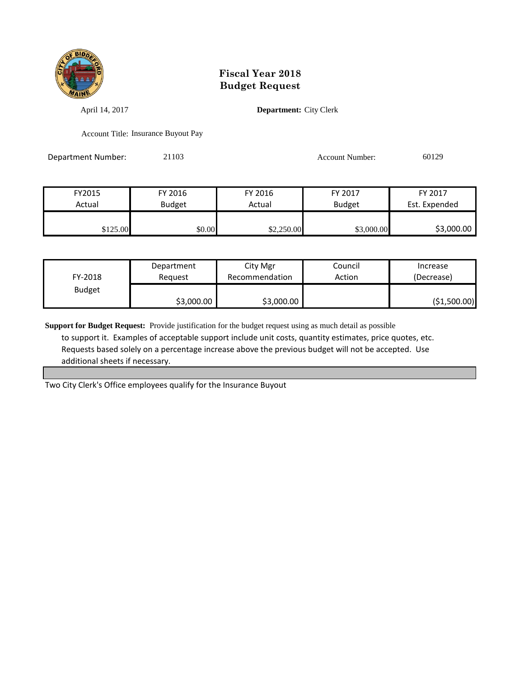

April 14, 2017 **Department:** City Clerk

Account Title: Insurance Buyout Pay

Department Number: 21103 Account Number: 60129

| FY2015   | FY 2016       | FY 2016    | FY 2017       | FY 2017       |
|----------|---------------|------------|---------------|---------------|
| Actual   | <b>Budget</b> | Actual     | <b>Budget</b> | Est. Expended |
|          |               |            |               |               |
| \$125.00 | \$0.00        | \$2,250.00 | \$3,000.00    | \$3,000.00    |

| FY-2018       | Department | City Mgr       | Council | Increase      |
|---------------|------------|----------------|---------|---------------|
|               | Reauest    | Recommendation | Action  | (Decrease)    |
| <b>Budget</b> | \$3,000.00 | \$3,000.00     |         | ( \$1,500.00) |

**Support for Budget Request:** Provide justification for the budget request using as much detail as possible to support it. Examples of acceptable support include unit costs, quantity estimates, price quotes, etc. Requests based solely on a percentage increase above the previous budget will not be accepted. Use additional sheets if necessary.

Two City Clerk's Office employees qualify for the Insurance Buyout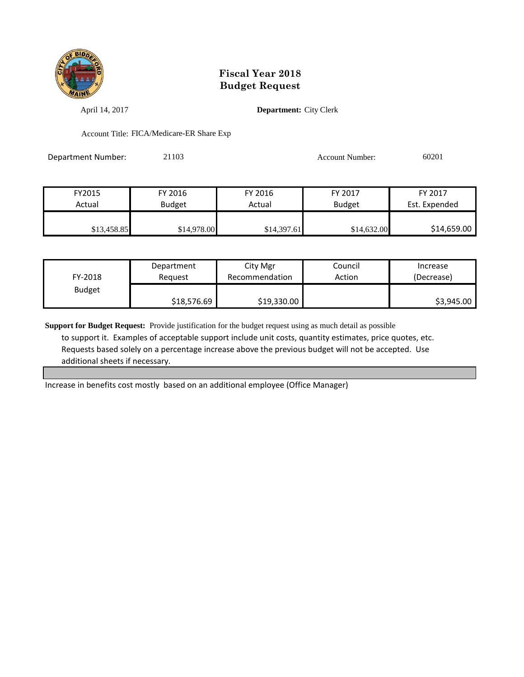

April 14, 2017 **Department:** City Clerk

Account Title: FICA/Medicare-ER Share Exp

Department Number: 21103 Account Number: 60201

| FY2015      | FY 2016       | FY 2016     | FY 2017       | FY 2017       |
|-------------|---------------|-------------|---------------|---------------|
| Actual      | <b>Budget</b> | Actual      | <b>Budget</b> | Est. Expended |
|             |               |             |               |               |
| \$13,458.85 | \$14,978.00   | \$14,397.61 | \$14,632.00   | \$14,659.00   |

| FY-2018       | Department  | City Mgr       | Council | Increase   |
|---------------|-------------|----------------|---------|------------|
|               | Reauest     | Recommendation | Action  | (Decrease) |
| <b>Budget</b> | \$18,576.69 | \$19,330.00    |         | \$3,945.00 |

**Support for Budget Request:** Provide justification for the budget request using as much detail as possible to support it. Examples of acceptable support include unit costs, quantity estimates, price quotes, etc. Requests based solely on a percentage increase above the previous budget will not be accepted. Use additional sheets if necessary.

Increase in benefits cost mostly based on an additional employee (Office Manager)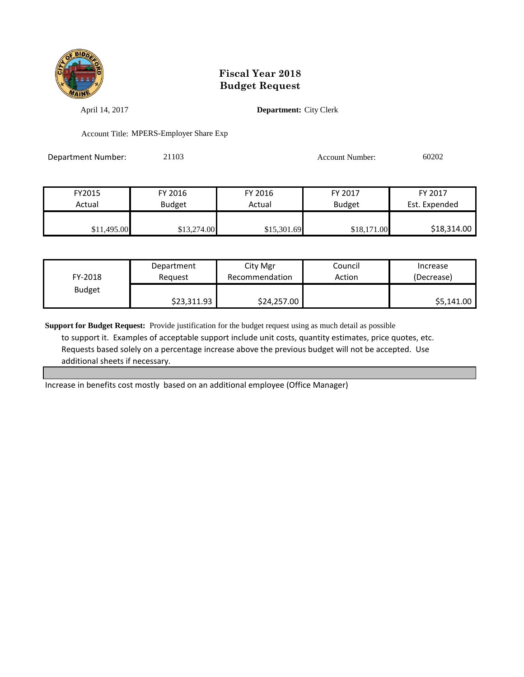

April 14, 2017 **Department:** City Clerk

Account Title: MPERS-Employer Share Exp

Department Number: 21103 Account Number: 60202

| FY2015      | FY 2016       | FY 2016     | FY 2017       | FY 2017       |
|-------------|---------------|-------------|---------------|---------------|
| Actual      | <b>Budget</b> | Actual      | <b>Budget</b> | Est. Expended |
|             |               |             |               |               |
| \$11,495.00 | \$13,274.00   | \$15,301.69 | \$18,171.00   | \$18,314.00   |

| FY-2018       | Department  | City Mgr       | Council | Increase   |
|---------------|-------------|----------------|---------|------------|
|               | Reauest     | Recommendation | Action  | (Decrease) |
| <b>Budget</b> | \$23,311.93 | \$24,257.00    |         | \$5,141.00 |

**Support for Budget Request:** Provide justification for the budget request using as much detail as possible to support it. Examples of acceptable support include unit costs, quantity estimates, price quotes, etc. Requests based solely on a percentage increase above the previous budget will not be accepted. Use additional sheets if necessary.

Increase in benefits cost mostly based on an additional employee (Office Manager)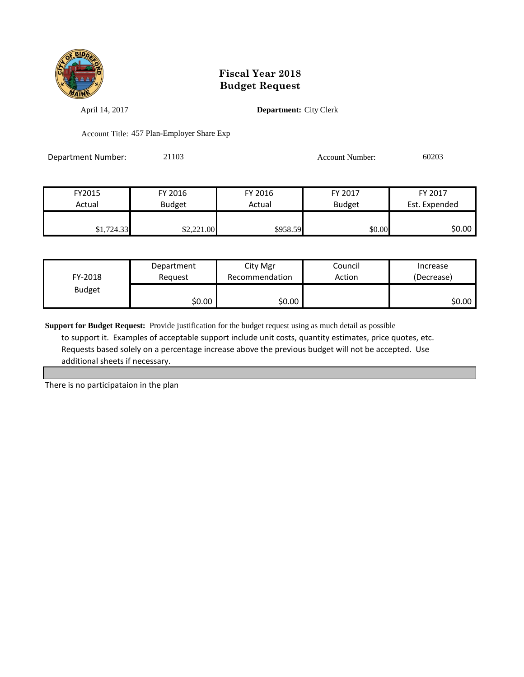

April 14, 2017 **Department:** City Clerk

Account Title: 457 Plan-Employer Share Exp

Department Number: 21103 Account Number: 60203

| FY2015     | FY 2016       | FY 2016  | FY 2017       | FY 2017       |
|------------|---------------|----------|---------------|---------------|
| Actual     | <b>Budget</b> | Actual   | <b>Budget</b> | Est. Expended |
|            |               |          |               |               |
| \$1,724.33 | \$2,221.00    | \$958.59 | \$0.00        | \$0.00        |

| FY-2018       | Department | City Mgr       | Council | Increase   |
|---------------|------------|----------------|---------|------------|
|               | Reauest    | Recommendation | Action  | (Decrease) |
| <b>Budget</b> | \$0.00     | \$0.00         |         | \$0.00     |

**Support for Budget Request:** Provide justification for the budget request using as much detail as possible to support it. Examples of acceptable support include unit costs, quantity estimates, price quotes, etc. Requests based solely on a percentage increase above the previous budget will not be accepted. Use additional sheets if necessary.

There is no participataion in the plan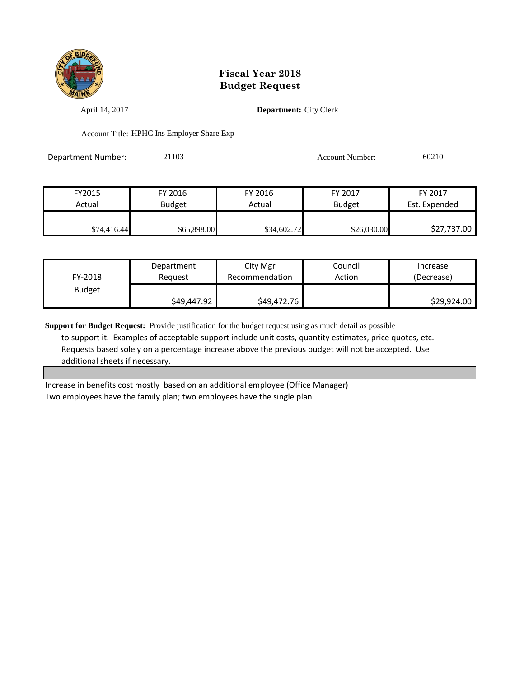

April 14, 2017 **Department:** City Clerk

Account Title: HPHC Ins Employer Share Exp

Department Number: 21103 Account Number: 60210

| FY2015      | FY 2016       | FY 2016     | FY 2017       | FY 2017       |
|-------------|---------------|-------------|---------------|---------------|
| Actual      | <b>Budget</b> | Actual      | <b>Budget</b> | Est. Expended |
|             |               |             |               |               |
| \$74,416.44 | \$65,898.00   | \$34,602.72 | \$26,030.00   | \$27,737.00   |

| FY-2018       | Department  | City Mgr       | Council | Increase    |
|---------------|-------------|----------------|---------|-------------|
|               | Reauest     | Recommendation | Action  | (Decrease)  |
| <b>Budget</b> | \$49,447.92 | \$49,472.76    |         | \$29,924.00 |

**Support for Budget Request:** Provide justification for the budget request using as much detail as possible to support it. Examples of acceptable support include unit costs, quantity estimates, price quotes, etc. Requests based solely on a percentage increase above the previous budget will not be accepted. Use additional sheets if necessary.

Increase in benefits cost mostly based on an additional employee (Office Manager) Two employees have the family plan; two employees have the single plan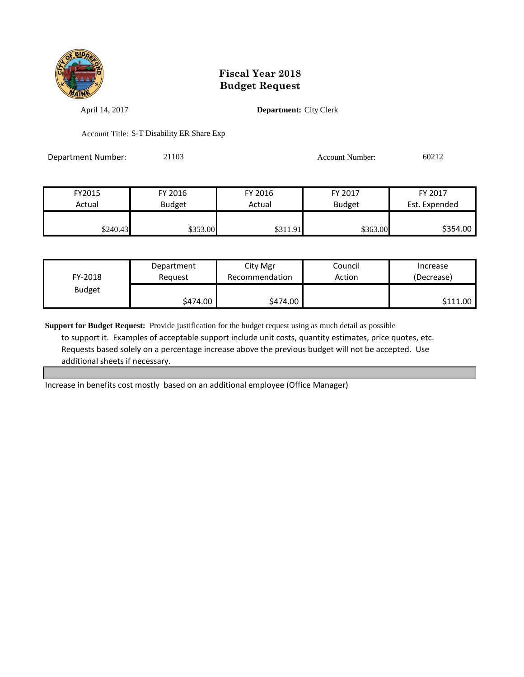

April 14, 2017 **Department:** City Clerk

Account Title: S-T Disability ER Share Exp

Department Number: 21103 Account Number: 60212

| FY2015   | FY 2016  | FY 2016  | FY 2017       | FY 2017       |
|----------|----------|----------|---------------|---------------|
| Actual   | Budget   | Actual   | <b>Budget</b> | Est. Expended |
| \$240.43 | \$353.00 | \$311.91 | \$363.00      | \$354.00      |

| FY-2018       | Department | City Mgr       | Council | Increase   |
|---------------|------------|----------------|---------|------------|
|               | Reauest    | Recommendation | Action  | (Decrease) |
| <b>Budget</b> | \$474.00   | \$474.00       |         | \$111.00   |

**Support for Budget Request:** Provide justification for the budget request using as much detail as possible to support it. Examples of acceptable support include unit costs, quantity estimates, price quotes, etc. Requests based solely on a percentage increase above the previous budget will not be accepted. Use additional sheets if necessary.

Increase in benefits cost mostly based on an additional employee (Office Manager)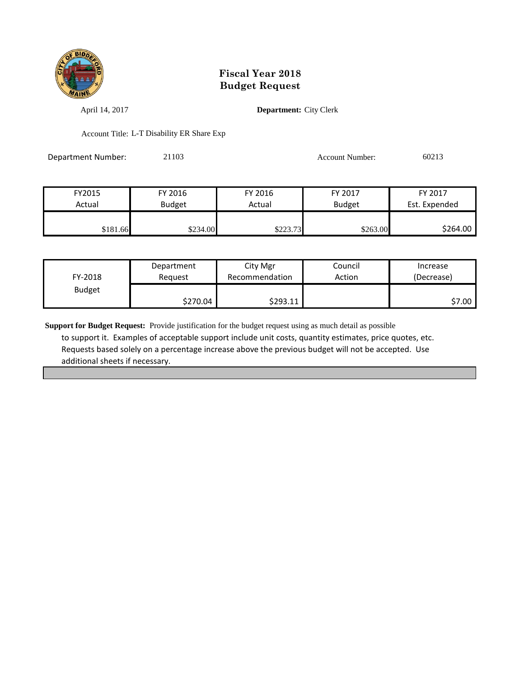

April 14, 2017 **Department:** City Clerk

Account Title: L-T Disability ER Share Exp

Department Number: 21103 Account Number: 60213

| FY2015   | FY 2016       | FY 2016  | FY 2017       | FY 2017       |
|----------|---------------|----------|---------------|---------------|
| Actual   | <b>Budget</b> | Actual   | <b>Budget</b> | Est. Expended |
|          |               |          |               |               |
| \$181.66 | \$234.00      | \$223.73 | \$263.00      | \$264.00      |

| FY-2018       | Department | City Mgr       | Council | Increase   |
|---------------|------------|----------------|---------|------------|
|               | Reauest    | Recommendation | Action  | (Decrease) |
| <b>Budget</b> | \$270.04   | \$293.11       |         | \$7.00     |

**Support for Budget Request:** Provide justification for the budget request using as much detail as possible to support it. Examples of acceptable support include unit costs, quantity estimates, price quotes, etc. Requests based solely on a percentage increase above the previous budget will not be accepted. Use additional sheets if necessary.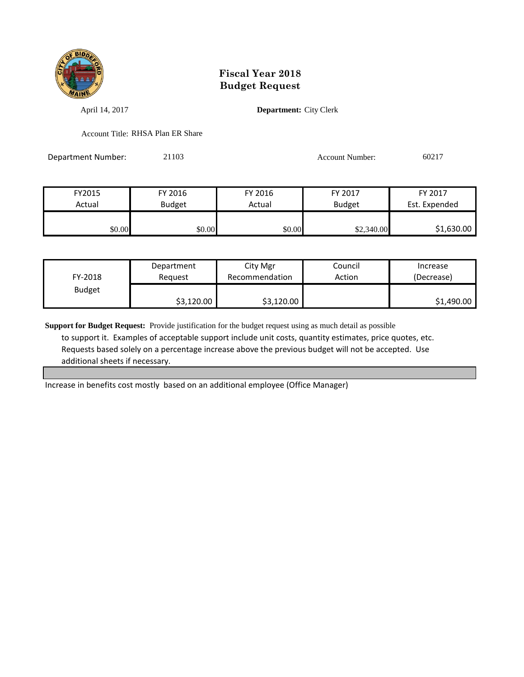

April 14, 2017 **Department:** City Clerk

Account Title: RHSA Plan ER Share

Department Number: 21103 Account Number: 60217

FY2015 FY 2016 FY 2016 FY 2017 FY 2017 Actual Budget Actual Budget Est. Expended \$0.00 \$0.00 \$0.00 \$0.00 \$2,340.00 \$1,630.00

| FY-2018       | Department | City Mgr       | Council | Increase   |
|---------------|------------|----------------|---------|------------|
|               | Reauest    | Recommendation | Action  | (Decrease) |
| <b>Budget</b> | \$3,120.00 | \$3,120.00     |         | \$1,490.00 |

**Support for Budget Request:** Provide justification for the budget request using as much detail as possible to support it. Examples of acceptable support include unit costs, quantity estimates, price quotes, etc. Requests based solely on a percentage increase above the previous budget will not be accepted. Use additional sheets if necessary.

Increase in benefits cost mostly based on an additional employee (Office Manager)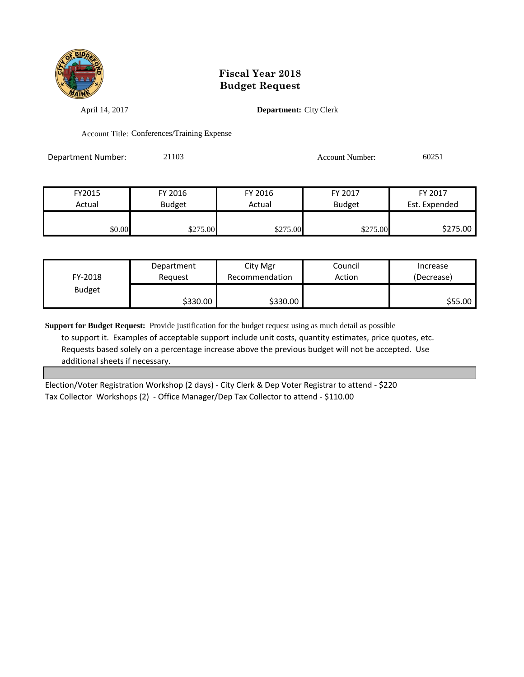

April 14, 2017 **Department:** City Clerk

Account Title: Conferences/Training Expense

Department Number: 21103 Account Number: 60251

| FY2015 | FY 2016       | FY 2016  | FY 2017       | FY 2017       |
|--------|---------------|----------|---------------|---------------|
| Actual | <b>Budget</b> | Actual   | <b>Budget</b> | Est. Expended |
|        |               |          |               |               |
| \$0.00 | \$275.00      | \$275.00 | \$275.00      | \$275.00      |

| FY-2018       | Department | City Mgr       | Council | Increase   |
|---------------|------------|----------------|---------|------------|
|               | Reauest    | Recommendation | Action  | (Decrease) |
| <b>Budget</b> | \$330.00   | \$330.00       |         | \$55.00    |

**Support for Budget Request:** Provide justification for the budget request using as much detail as possible to support it. Examples of acceptable support include unit costs, quantity estimates, price quotes, etc. Requests based solely on a percentage increase above the previous budget will not be accepted. Use additional sheets if necessary.

Election/Voter Registration Workshop (2 days) - City Clerk & Dep Voter Registrar to attend - \$220 Tax Collector Workshops (2) - Office Manager/Dep Tax Collector to attend - \$110.00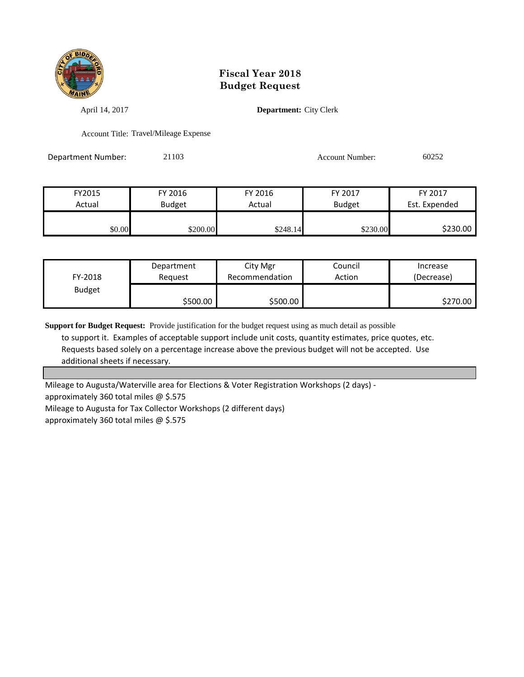

April 14, 2017 **Department:** City Clerk

Account Title: Travel/Mileage Expense

Department Number: 21103 Account Number: 60252

| FY2015 | FY 2016       | FY 2016  | FY 2017       | FY 2017       |
|--------|---------------|----------|---------------|---------------|
| Actual | <b>Budget</b> | Actual   | <b>Budget</b> | Est. Expended |
|        |               |          |               |               |
| \$0.00 | \$200.00      | \$248.14 | \$230.00      | \$230.00      |

| FY-2018       | Department | City Mgr       | Council | Increase   |
|---------------|------------|----------------|---------|------------|
|               | Reauest    | Recommendation | Action  | (Decrease) |
| <b>Budget</b> | \$500.00   | \$500.00       |         | \$270.00   |

**Support for Budget Request:** Provide justification for the budget request using as much detail as possible to support it. Examples of acceptable support include unit costs, quantity estimates, price quotes, etc. Requests based solely on a percentage increase above the previous budget will not be accepted. Use additional sheets if necessary.

Mileage to Augusta/Waterville area for Elections & Voter Registration Workshops (2 days) approximately 360 total miles @ \$.575 Mileage to Augusta for Tax Collector Workshops (2 different days) approximately 360 total miles @ \$.575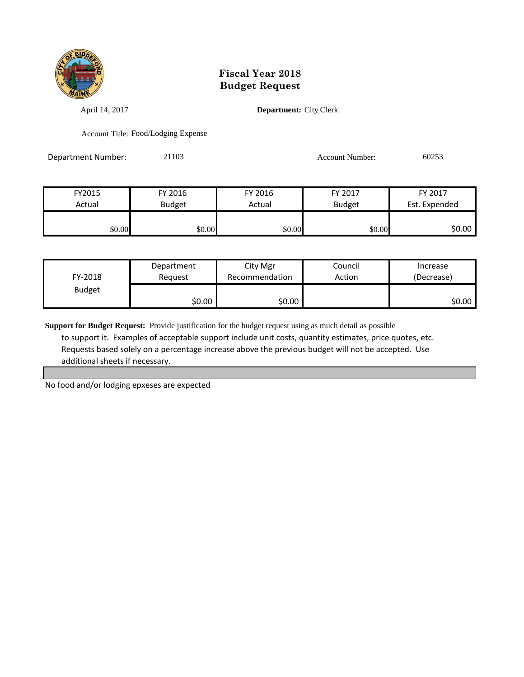

April 14, 2017 **Department:** City Clerk

Account Title: Food/Lodging Expense

Department Number: 21103 Account Number: 60253

| FY2015 | FY 2016       | FY 2016 | FY 2017       | FY 2017       |
|--------|---------------|---------|---------------|---------------|
| Actual | <b>Budget</b> | Actual  | <b>Budget</b> | Est. Expended |
|        |               |         |               |               |
| \$0.00 | \$0.00        | \$0.00  | \$0.00        | \$0.00 l      |

| FY-2018       | Department | City Mgr       | Council | Increase   |
|---------------|------------|----------------|---------|------------|
|               | Reguest    | Recommendation | Action  | (Decrease) |
| <b>Budget</b> | \$0.00     | \$0.00         |         | SO.OO      |

**Support for Budget Request:** Provide justification for the budget request using as much detail as possible to support it. Examples of acceptable support include unit costs, quantity estimates, price quotes, etc. Requests based solely on a percentage increase above the previous budget will not be accepted. Use additional sheets if necessary.

No food and/or lodging epxeses are expected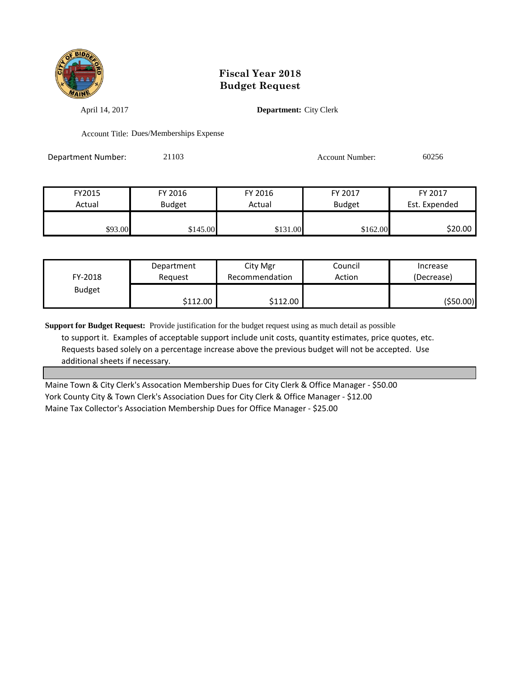

April 14, 2017 **Department:** City Clerk

Account Title: Dues/Memberships Expense

Department Number: 21103 Account Number: 60256

| FY2015  | FY 2016       | FY 2016  | FY 2017       | FY 2017       |
|---------|---------------|----------|---------------|---------------|
| Actual  | <b>Budget</b> | Actual   | <b>Budget</b> | Est. Expended |
|         |               |          |               |               |
| \$93.00 | \$145.00      | \$131.00 | \$162.00      | \$20.00       |

| FY-2018       | Department        | City Mgr       | Council | Increase   |
|---------------|-------------------|----------------|---------|------------|
|               | Reauest           | Recommendation | Action  | (Decrease) |
| <b>Budget</b> | $$112.00$ $\vert$ | \$112.00       |         | (\$50.00)  |

**Support for Budget Request:** Provide justification for the budget request using as much detail as possible to support it. Examples of acceptable support include unit costs, quantity estimates, price quotes, etc. Requests based solely on a percentage increase above the previous budget will not be accepted. Use additional sheets if necessary.

Maine Town & City Clerk's Assocation Membership Dues for City Clerk & Office Manager - \$50.00 York County City & Town Clerk's Association Dues for City Clerk & Office Manager - \$12.00 Maine Tax Collector's Association Membership Dues for Office Manager - \$25.00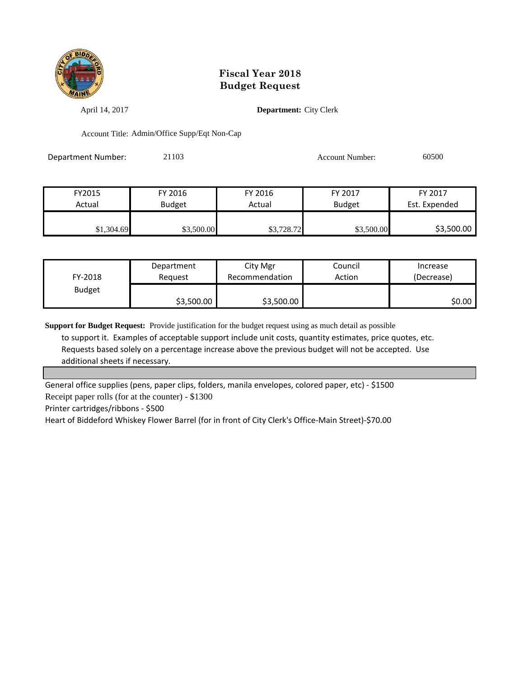

April 14, 2017 **Department:** City Clerk

Account Title: Admin/Office Supp/Eqt Non-Cap

Department Number: 21103 Account Number: 60500

| FY2015     | FY 2016       | FY 2016    | FY 2017       | FY 2017       |
|------------|---------------|------------|---------------|---------------|
| Actual     | <b>Budget</b> | Actual     | <b>Budget</b> | Est. Expended |
|            |               |            |               |               |
| \$1,304.69 | \$3,500.00    | \$3,728.72 | \$3,500.00    | \$3,500.00    |

| FY-2018       | Reauest    | City Mgr<br>Recommendation | Action | (Decrease) |
|---------------|------------|----------------------------|--------|------------|
| <b>Budget</b> | \$3,500.00 | \$3,500.00                 |        | \$0.00     |

**Support for Budget Request:** Provide justification for the budget request using as much detail as possible to support it. Examples of acceptable support include unit costs, quantity estimates, price quotes, etc. Requests based solely on a percentage increase above the previous budget will not be accepted. Use additional sheets if necessary.

General office supplies (pens, paper clips, folders, manila envelopes, colored paper, etc) - \$1500

Receipt paper rolls (for at the counter) - \$1300

Printer cartridges/ribbons - \$500

Heart of Biddeford Whiskey Flower Barrel (for in front of City Clerk's Office-Main Street)-\$70.00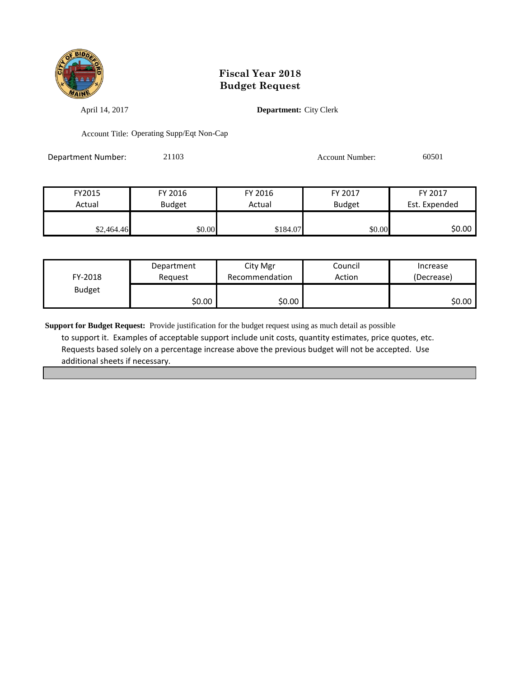

April 14, 2017 **Department:** City Clerk

Account Title: Operating Supp/Eqt Non-Cap

Department Number: 21103 Account Number: 60501

| FY2015     | FY 2016       | FY 2016  | FY 2017       | FY 2017       |
|------------|---------------|----------|---------------|---------------|
| Actual     | <b>Budget</b> | Actual   | <b>Budget</b> | Est. Expended |
|            |               |          |               |               |
| \$2,464.46 | \$0.00        | \$184.07 | \$0.00        | \$0.00        |

| FY-2018       | Department | City Mgr       | Council | Increase   |
|---------------|------------|----------------|---------|------------|
|               | Reauest    | Recommendation | Action  | (Decrease) |
| <b>Budget</b> | ا 50.00    | \$0.00         |         | \$0.00∣    |

**Support for Budget Request:** Provide justification for the budget request using as much detail as possible to support it. Examples of acceptable support include unit costs, quantity estimates, price quotes, etc. Requests based solely on a percentage increase above the previous budget will not be accepted. Use additional sheets if necessary.